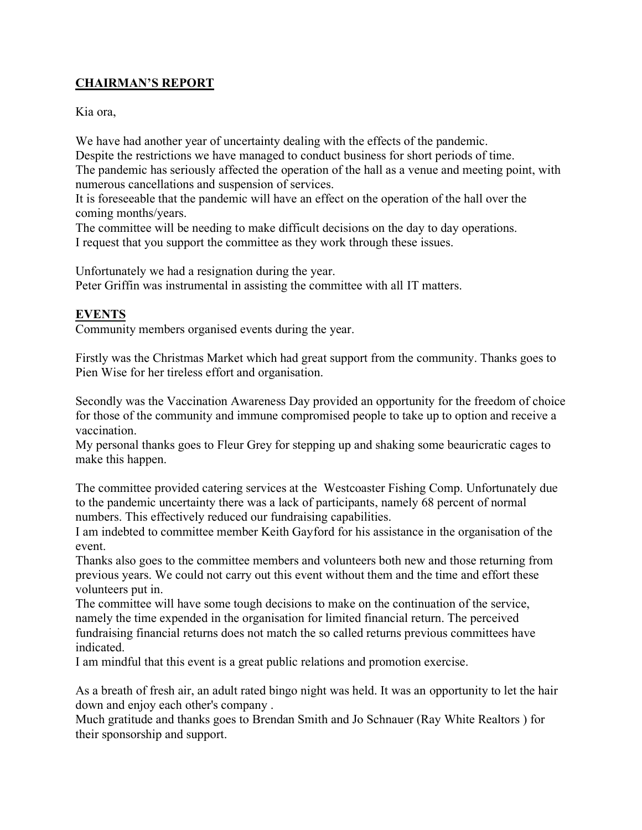## **CHAIRMAN'S REPORT**

Kia ora,

We have had another year of uncertainty dealing with the effects of the pandemic. Despite the restrictions we have managed to conduct business for short periods of time. The pandemic has seriously affected the operation of the hall as a venue and meeting point, with numerous cancellations and suspension of services.

It is foreseeable that the pandemic will have an effect on the operation of the hall over the coming months/years.

The committee will be needing to make difficult decisions on the day to day operations. I request that you support the committee as they work through these issues.

Unfortunately we had a resignation during the year. Peter Griffin was instrumental in assisting the committee with all IT matters.

## **EVENTS**

Community members organised events during the year.

Firstly was the Christmas Market which had great support from the community. Thanks goes to Pien Wise for her tireless effort and organisation.

Secondly was the Vaccination Awareness Day provided an opportunity for the freedom of choice for those of the community and immune compromised people to take up to option and receive a vaccination.

My personal thanks goes to Fleur Grey for stepping up and shaking some beauricratic cages to make this happen.

The committee provided catering services at the Westcoaster Fishing Comp. Unfortunately due to the pandemic uncertainty there was a lack of participants, namely 68 percent of normal numbers. This effectively reduced our fundraising capabilities.

I am indebted to committee member Keith Gayford for his assistance in the organisation of the event.

Thanks also goes to the committee members and volunteers both new and those returning from previous years. We could not carry out this event without them and the time and effort these volunteers put in.

The committee will have some tough decisions to make on the continuation of the service, namely the time expended in the organisation for limited financial return. The perceived fundraising financial returns does not match the so called returns previous committees have indicated.

I am mindful that this event is a great public relations and promotion exercise.

As a breath of fresh air, an adult rated bingo night was held. It was an opportunity to let the hair down and enjoy each other's company .

Much gratitude and thanks goes to Brendan Smith and Jo Schnauer (Ray White Realtors ) for their sponsorship and support.